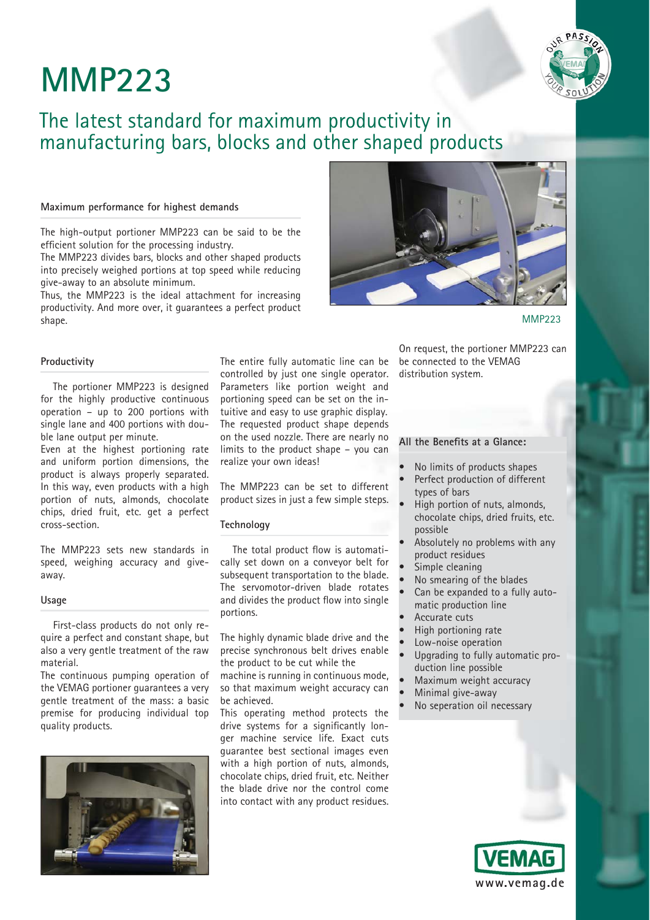# **MMP223**



# The latest standard for maximum productivity in manufacturing bars, blocks and other shaped products

## **Maximum performance for highest demands**

The high-output portioner MMP223 can be said to be the efficient solution for the processing industry.

The MMP223 divides bars, blocks and other shaped products into precisely weighed portions at top speed while reducing give-away to an absolute minimum.

Thus, the MMP223 is the ideal attachment for increasing productivity. And more over, it guarantees a perfect product shape.



MMP<sub>223</sub>

#### **Productivity**

The portioner MMP223 is designed for the highly productive continuous operation – up to 200 portions with single lane and 400 portions with double lane output per minute.

Even at the highest portioning rate and uniform portion dimensions, the product is always properly separated. In this way, even products with a high portion of nuts, almonds, chocolate chips, dried fruit, etc. get a perfect cross-section.

The MMP223 sets new standards in speed, weighing accuracy and giveaway.

#### **Usage**

First-class products do not only require a perfect and constant shape, but also a very gentle treatment of the raw material.

The continuous pumping operation of the VEMAG portioner guarantees a very gentle treatment of the mass: a basic premise for producing individual top quality products.



The entire fully automatic line can be controlled by just one single operator. Parameters like portion weight and portioning speed can be set on the intuitive and easy to use graphic display. The requested product shape depends on the used nozzle. There are nearly no limits to the product shape – you can realize your own ideas!

The MMP223 can be set to different product sizes in just a few simple steps.

### **Technology**

The total product flow is automatically set down on a conveyor belt for subsequent transportation to the blade. The servomotor-driven blade rotates and divides the product flow into single portions.

The highly dynamic blade drive and the precise synchronous belt drives enable the product to be cut while the machine is running in continuous mode, so that maximum weight accuracy can be achieved.

This operating method protects the drive systems for a significantly longer machine service life. Exact cuts guarantee best sectional images even with a high portion of nuts, almonds, chocolate chips, dried fruit, etc. Neither the blade drive nor the control come into contact with any product residues.

On request, the portioner MMP223 can be connected to the VEMAG distribution system.

## All the Benefits at a Glance:

- No limits of products shapes
- Perfect production of different types of bars
	- High portion of nuts, almonds, chocolate chips, dried fruits, etc. possible
	- Absolutely no problems with any product residues
	- Simple cleaning
	- No smearing of the blades
- Can be expanded to a fully automatic production line
- Accurate cuts
- High portioning rate
- Low-noise operation
- Upgrading to fully automatic production line possible
- Maximum weight accuracy
- Minimal give-away
- No seperation oil necessary